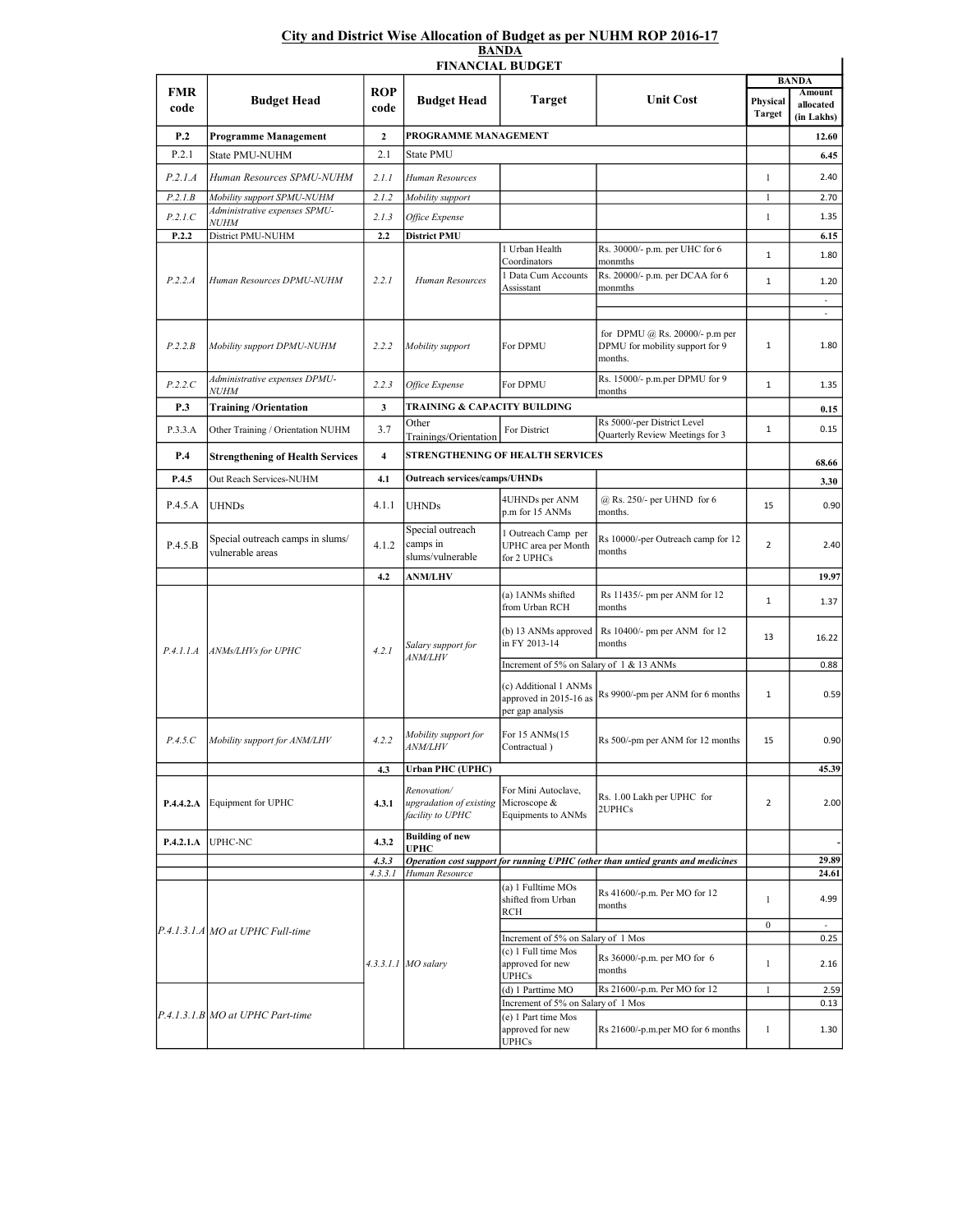## City and District Wise Allocation of Budget as per NUHM ROP 2016-17 BANDA

| <b>FINANCIAL BUDGET</b> |                                                      |                    |                                                            |                                                                               |                                                                                  |                           |                          |  |
|-------------------------|------------------------------------------------------|--------------------|------------------------------------------------------------|-------------------------------------------------------------------------------|----------------------------------------------------------------------------------|---------------------------|--------------------------|--|
| FMR                     | <b>Budget Head</b>                                   | <b>ROP</b><br>code | <b>Budget Head</b>                                         | <b>Target</b>                                                                 |                                                                                  | <b>BANDA</b><br>Amount    |                          |  |
| code                    |                                                      |                    |                                                            |                                                                               | <b>Unit Cost</b>                                                                 | Physical<br><b>Target</b> | allocated<br>(in Lakhs)  |  |
| P.2                     | Programme Management                                 | $\mathbf{2}$       | PROGRAMME MANAGEMENT                                       |                                                                               |                                                                                  |                           | 12.60                    |  |
| P.2.1                   | State PMU-NUHM                                       | 2.1                | State PMU                                                  |                                                                               |                                                                                  |                           | 6.45                     |  |
| P.2.1.A                 | Human Resources SPMU-NUHM                            | 2.1.1              | Human Resources                                            |                                                                               |                                                                                  | $\mathbf{1}$              | 2.40                     |  |
| P.2.1B                  | Mobility support SPMU-NUHM                           | 2.1.2              | Mobility support                                           |                                                                               |                                                                                  | $\mathbf{1}$              | 2.70                     |  |
| P.2.1.C                 | Administrative expenses SPMU-<br><b>NUHM</b>         | 2.1.3              | Office Expense                                             |                                                                               |                                                                                  | $\mathbf{1}$              | 1.35                     |  |
| P.2.2                   | District PMU-NUHM                                    | 2.2                | <b>District PMU</b>                                        |                                                                               |                                                                                  |                           | 6.15                     |  |
| P.2.2.A                 | Human Resources DPMU-NUHM                            | 2.2.1              | Human Resources                                            | 1 Urban Health<br>Coordinators                                                | Rs. 30000/- p.m. per UHC for 6<br>monmths                                        | $\mathbf{1}$              | 1.80                     |  |
|                         |                                                      |                    |                                                            | 1 Data Cum Accounts<br>Assisstant                                             | Rs. 20000/- p.m. per DCAA for 6<br>monmths                                       | $\mathbf{1}$              | 1.20                     |  |
|                         |                                                      |                    |                                                            |                                                                               |                                                                                  |                           | $\overline{\phantom{a}}$ |  |
| P.2.2.B                 | Mobility support DPMU-NUHM                           | 2.2.2              | Mobility support                                           | For DPMU                                                                      | for DPMU $(a)$ Rs. 20000/- p.m per<br>DPMU for mobility support for 9<br>months. | $\mathbf{1}$              | 1.80                     |  |
| P.2.2.C                 | Administrative expenses DPMU-<br><b>NUHM</b>         | 2.2.3              | Office Expense                                             | For DPMU                                                                      | Rs. 15000/- p.m.per DPMU for 9<br>months                                         | $1\,$                     | 1.35                     |  |
| P.3                     | <b>Training/Orientation</b>                          | 3                  | TRAINING & CAPACITY BUILDING                               |                                                                               |                                                                                  |                           | 0.15                     |  |
| P.3.3.A                 | Other Training / Orientation NUHM                    | 3.7                | Other<br>Trainings/Orientation                             | For District                                                                  | Rs 5000/-per District Level<br>Quarterly Review Meetings for 3                   | $\mathbf{1}$              | 0.15                     |  |
| P.4                     | <b>Strengthening of Health Services</b>              | 4                  | STRENGTHENING OF HEALTH SERVICES                           |                                                                               |                                                                                  | 68.66                     |                          |  |
| P.4.5                   | Out Reach Services-NUHM                              | 4.1                | <b>Outreach services/camps/UHNDs</b>                       |                                                                               |                                                                                  |                           | 3.30                     |  |
| P.4.5.A                 | <b>UHNDs</b>                                         | 4.1.1              | <b>UHNDs</b>                                               | 4UHNDs per ANM<br>p.m for 15 ANMs                                             | @ Rs. 250/- per UHND for 6<br>months.                                            | 15                        | 0.90                     |  |
| P.4.5.B                 | Special outreach camps in slums/<br>vulnerable areas | 4.1.2              | Special outreach<br>camps in<br>slums/vulnerable           | 1 Outreach Camp per<br>UPHC area per Month<br>for 2 UPHCs                     | Rs 10000/-per Outreach camp for 12<br>months                                     | $\overline{2}$            | 2.40                     |  |
|                         |                                                      | 4.2                | <b>ANM/LHV</b>                                             |                                                                               |                                                                                  |                           | 19.97                    |  |
|                         | ANMs/LHVs for UPHC                                   | 4.2.1              | Salary support for<br><b>ANM/LHV</b>                       | (a) 1ANMs shifted<br>from Urban RCH                                           | Rs 11435/- pm per ANM for 12<br>months                                           | $\mathbf{1}$              | 1.37                     |  |
| P.4.1.1.A               |                                                      |                    |                                                            | (b) 13 ANMs approved<br>in FY 2013-14                                         | Rs 10400/- pm per ANM for 12<br>months                                           | 13                        | 16.22                    |  |
|                         |                                                      |                    |                                                            | Increment of 5% on Salary of 1 & 13 ANMs                                      |                                                                                  |                           | 0.88                     |  |
|                         |                                                      |                    |                                                            | (c) Additional 1 ANMs<br>approved in 2015-16 as<br>per gap analysis           | Rs 9900/-pm per ANM for 6 months                                                 | 1                         | 0.59                     |  |
| P.4.5.C                 | Mobility support for ANM/LHV                         | 4.2.2              | Mobility support for<br><b>ANM/LHV</b>                     | For 15 ANMs(15<br>Contractual)                                                | Rs 500/-pm per ANM for 12 months                                                 | 15                        | 0.90                     |  |
|                         |                                                      | 4.3                | <b>Urban PHC (UPHC)</b>                                    |                                                                               |                                                                                  |                           | 45.39                    |  |
| P.4.4.2.A               | Equipment for UPHC                                   | 4.3.1              | Renovation/<br>upgradation of existing<br>facility to UPHC | For Mini Autoclave,<br>Microscope &<br>Equipments to ANMs                     | Rs. 1.00 Lakh per UPHC for<br>2UPHCs                                             | $\overline{2}$            | 2.00                     |  |
| P.4.2.1.A               | UPHC-NC                                              | 4.3.2              | <b>Building of new</b><br>UPHC                             |                                                                               |                                                                                  |                           |                          |  |
|                         |                                                      | 4.3.3              |                                                            |                                                                               | Operation cost support for running UPHC (other than untied grants and medicines  |                           | 29.89                    |  |
|                         |                                                      | 4.3.3.1            | Human Resource                                             | (a) 1 Fulltime MOs                                                            |                                                                                  |                           | 24.61                    |  |
|                         | P.4.1.3.1.A MO at UPHC Full-time                     |                    | 4.3.3.1.1 MO salary                                        | shifted from Urban<br><b>RCH</b>                                              | Rs 41600/-p.m. Per MO for 12<br>months                                           | 1                         | 4.99                     |  |
|                         |                                                      |                    |                                                            |                                                                               |                                                                                  | $\boldsymbol{0}$          | ÷.                       |  |
|                         |                                                      |                    |                                                            | Increment of 5% on Salary of 1 Mos<br>(c) 1 Full time Mos<br>approved for new | Rs 36000/-p.m. per MO for 6<br>months                                            | 1                         | 0.25<br>2.16             |  |
|                         |                                                      |                    |                                                            | <b>UPHCs</b><br>(d) 1 Parttime MO                                             | Rs 21600/-p.m. Per MO for 12                                                     |                           | 2.59                     |  |
|                         |                                                      |                    |                                                            | Increment of 5% on Salary of 1 Mos                                            |                                                                                  | $\mathbf{1}$              | 0.13                     |  |
|                         | $[P.4.1.3.1.B]MO$ at UPHC Part-time                  |                    |                                                            | (e) 1 Part time Mos<br>approved for new<br><b>UPHCs</b>                       | Rs 21600/-p.m.per MO for 6 months                                                | 1                         | 1.30                     |  |